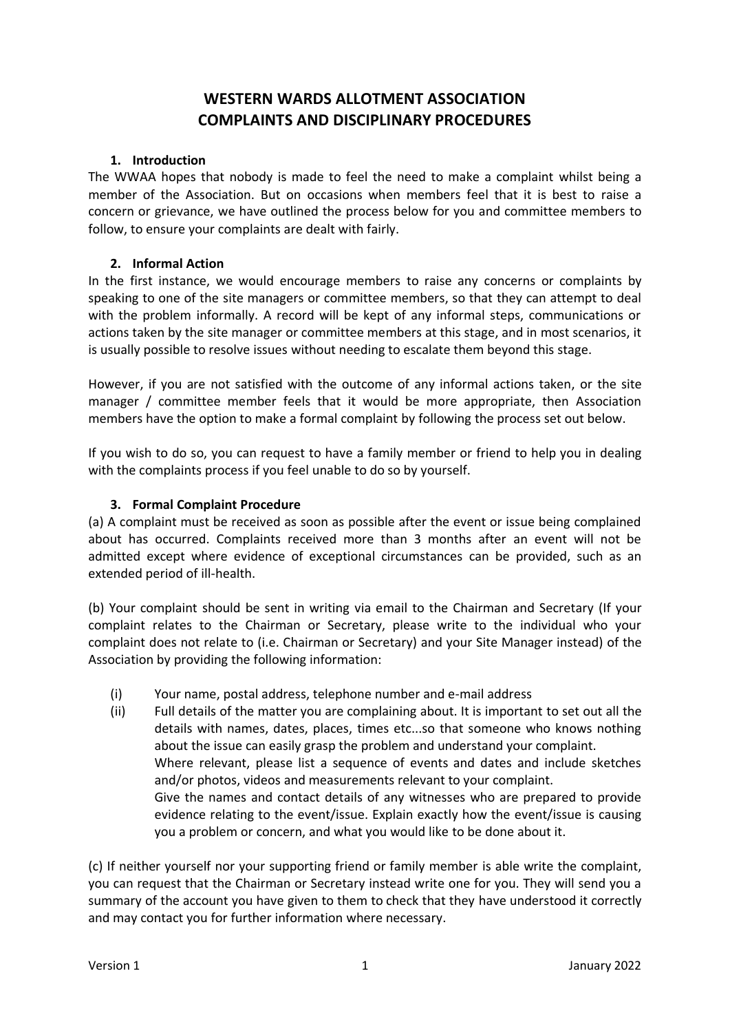# **WESTERN WARDS ALLOTMENT ASSOCIATION COMPLAINTS AND DISCIPLINARY PROCEDURES**

#### **1. Introduction**

The WWAA hopes that nobody is made to feel the need to make a complaint whilst being a member of the Association. But on occasions when members feel that it is best to raise a concern or grievance, we have outlined the process below for you and committee members to follow, to ensure your complaints are dealt with fairly.

#### **2. Informal Action**

In the first instance, we would encourage members to raise any concerns or complaints by speaking to one of the site managers or committee members, so that they can attempt to deal with the problem informally. A record will be kept of any informal steps, communications or actions taken by the site manager or committee members at this stage, and in most scenarios, it is usually possible to resolve issues without needing to escalate them beyond this stage.

However, if you are not satisfied with the outcome of any informal actions taken, or the site manager / committee member feels that it would be more appropriate, then Association members have the option to make a formal complaint by following the process set out below.

If you wish to do so, you can request to have a family member or friend to help you in dealing with the complaints process if you feel unable to do so by yourself.

### **3. Formal Complaint Procedure**

(a) A complaint must be received as soon as possible after the event or issue being complained about has occurred. Complaints received more than 3 months after an event will not be admitted except where evidence of exceptional circumstances can be provided, such as an extended period of ill-health.

(b) Your complaint should be sent in writing via email to the Chairman and Secretary (If your complaint relates to the Chairman or Secretary, please write to the individual who your complaint does not relate to (i.e. Chairman or Secretary) and your Site Manager instead) of the Association by providing the following information:

- (i) Your name, postal address, telephone number and e-mail address
- (ii) Full details of the matter you are complaining about. It is important to set out all the details with names, dates, places, times etc...so that someone who knows nothing about the issue can easily grasp the problem and understand your complaint. Where relevant, please list a sequence of events and dates and include sketches and/or photos, videos and measurements relevant to your complaint. Give the names and contact details of any witnesses who are prepared to provide evidence relating to the event/issue. Explain exactly how the event/issue is causing you a problem or concern, and what you would like to be done about it.

(c) If neither yourself nor your supporting friend or family member is able write the complaint, you can request that the Chairman or Secretary instead write one for you. They will send you a summary of the account you have given to them to check that they have understood it correctly and may contact you for further information where necessary.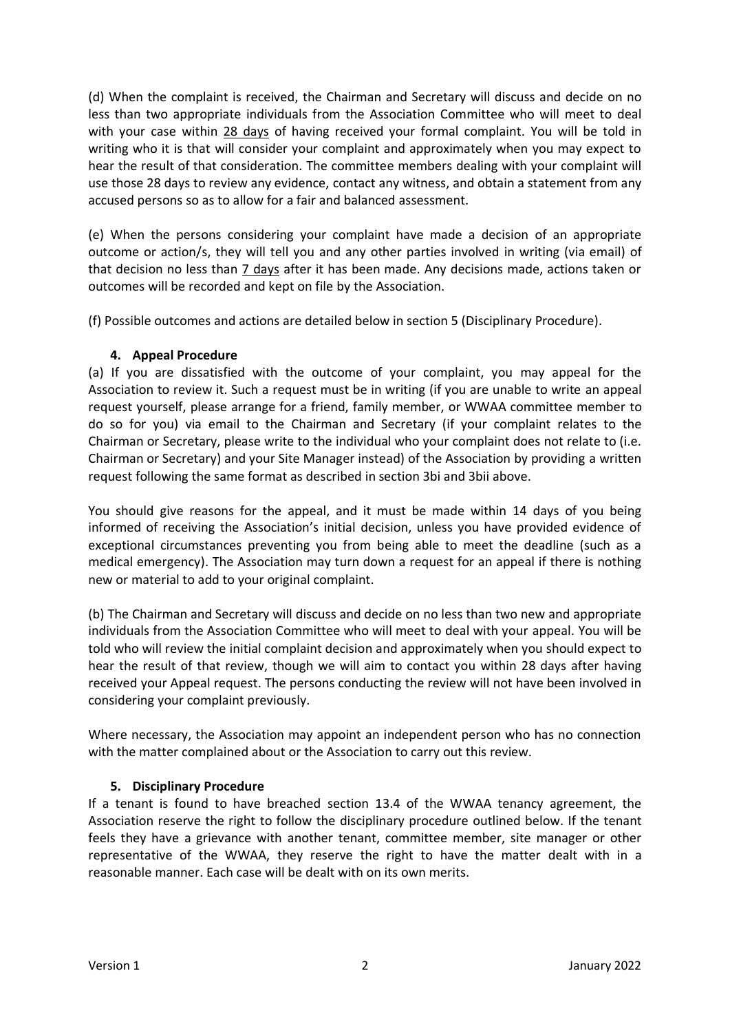(d) When the complaint is received, the Chairman and Secretary will discuss and decide on no less than two appropriate individuals from the Association Committee who will meet to deal with your case within 28 days of having received your formal complaint. You will be told in writing who it is that will consider your complaint and approximately when you may expect to hear the result of that consideration. The committee members dealing with your complaint will use those 28 days to review any evidence, contact any witness, and obtain a statement from any accused persons so as to allow for a fair and balanced assessment.

(e) When the persons considering your complaint have made a decision of an appropriate outcome or action/s, they will tell you and any other parties involved in writing (via email) of that decision no less than 7 days after it has been made. Any decisions made, actions taken or outcomes will be recorded and kept on file by the Association.

(f) Possible outcomes and actions are detailed below in section 5 (Disciplinary Procedure).

### **4. Appeal Procedure**

(a) If you are dissatisfied with the outcome of your complaint, you may appeal for the Association to review it. Such a request must be in writing (if you are unable to write an appeal request yourself, please arrange for a friend, family member, or WWAA committee member to do so for you) via email to the Chairman and Secretary (if your complaint relates to the Chairman or Secretary, please write to the individual who your complaint does not relate to (i.e. Chairman or Secretary) and your Site Manager instead) of the Association by providing a written request following the same format as described in section 3bi and 3bii above.

You should give reasons for the appeal, and it must be made within 14 days of you being informed of receiving the Association's initial decision, unless you have provided evidence of exceptional circumstances preventing you from being able to meet the deadline (such as a medical emergency). The Association may turn down a request for an appeal if there is nothing new or material to add to your original complaint.

(b) The Chairman and Secretary will discuss and decide on no less than two new and appropriate individuals from the Association Committee who will meet to deal with your appeal. You will be told who will review the initial complaint decision and approximately when you should expect to hear the result of that review, though we will aim to contact you within 28 days after having received your Appeal request. The persons conducting the review will not have been involved in considering your complaint previously.

Where necessary, the Association may appoint an independent person who has no connection with the matter complained about or the Association to carry out this review.

## **5. Disciplinary Procedure**

If a tenant is found to have breached section 13.4 of the WWAA tenancy agreement, the Association reserve the right to follow the disciplinary procedure outlined below. If the tenant feels they have a grievance with another tenant, committee member, site manager or other representative of the WWAA, they reserve the right to have the matter dealt with in a reasonable manner. Each case will be dealt with on its own merits.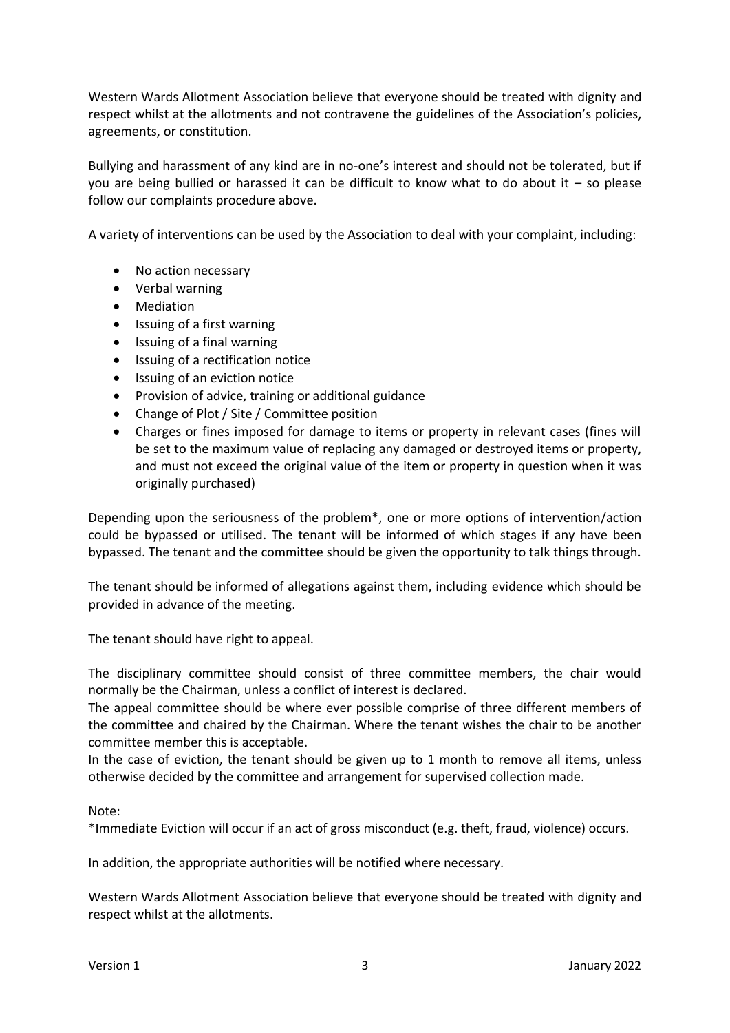Western Wards Allotment Association believe that everyone should be treated with dignity and respect whilst at the allotments and not contravene the guidelines of the Association's policies, agreements, or constitution.

Bullying and harassment of any kind are in no-one's interest and should not be tolerated, but if you are being bullied or harassed it can be difficult to know what to do about it – so please follow our complaints procedure above.

A variety of interventions can be used by the Association to deal with your complaint, including:

- No action necessary
- Verbal warning
- Mediation
- Issuing of a first warning
- Issuing of a final warning
- Issuing of a rectification notice
- Issuing of an eviction notice
- Provision of advice, training or additional guidance
- Change of Plot / Site / Committee position
- Charges or fines imposed for damage to items or property in relevant cases (fines will be set to the maximum value of replacing any damaged or destroyed items or property, and must not exceed the original value of the item or property in question when it was originally purchased)

Depending upon the seriousness of the problem\*, one or more options of intervention/action could be bypassed or utilised. The tenant will be informed of which stages if any have been bypassed. The tenant and the committee should be given the opportunity to talk things through.

The tenant should be informed of allegations against them, including evidence which should be provided in advance of the meeting.

The tenant should have right to appeal.

The disciplinary committee should consist of three committee members, the chair would normally be the Chairman, unless a conflict of interest is declared.

The appeal committee should be where ever possible comprise of three different members of the committee and chaired by the Chairman. Where the tenant wishes the chair to be another committee member this is acceptable.

In the case of eviction, the tenant should be given up to 1 month to remove all items, unless otherwise decided by the committee and arrangement for supervised collection made.

Note:

\*Immediate Eviction will occur if an act of gross misconduct (e.g. theft, fraud, violence) occurs.

In addition, the appropriate authorities will be notified where necessary.

Western Wards Allotment Association believe that everyone should be treated with dignity and respect whilst at the allotments.